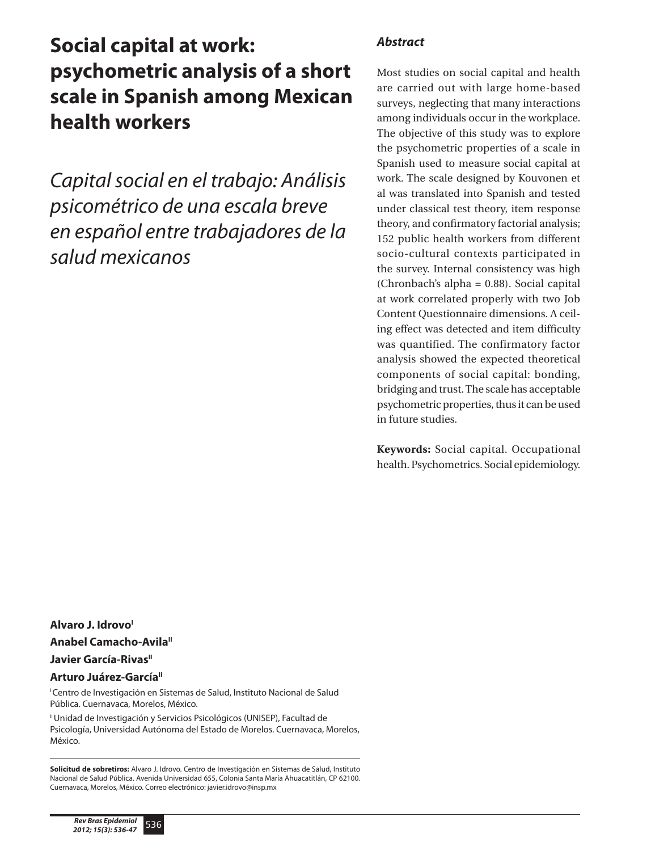# **Social capital at work: psychometric analysis of a short scale in Spanish among Mexican health workers**

*Capital social en el trabajo: Análisis psicométrico de una escala breve en español entre trabajadores de la salud mexicanos*

# *Abstract*

Most studies on social capital and health are carried out with large home-based surveys, neglecting that many interactions among individuals occur in the workplace. The objective of this study was to explore the psychometric properties of a scale in Spanish used to measure social capital at work. The scale designed by Kouvonen et al was translated into Spanish and tested under classical test theory, item response theory, and confirmatory factorial analysis; 152 public health workers from different socio-cultural contexts participated in the survey. Internal consistency was high (Chronbach's alpha = 0.88). Social capital at work correlated properly with two Job Content Questionnaire dimensions. A ceiling effect was detected and item difficulty was quantified. The confirmatory factor analysis showed the expected theoretical components of social capital: bonding, bridging and trust. The scale has acceptable psychometric properties, thus it can be used in future studies.

**Keywords:** Social capital. Occupational health. Psychometrics. Social epidemiology.

**Alvaro J. IdrovoI Anabel Camacho-Avila**<sup>"</sup> **Javier García-Rivas**<sup>"</sup>

## **Arturo Juárez-García**<sup>11</sup>

I Centro de Investigación en Sistemas de Salud, Instituto Nacional de Salud Pública. Cuernavaca, Morelos, México.

II Unidad de Investigación y Servicios Psicológicos (UNISEP), Facultad de Psicología, Universidad Autónoma del Estado de Morelos. Cuernavaca, Morelos, México.

**Solicitud de sobretiros:** Alvaro J. Idrovo. Centro de Investigación en Sistemas de Salud, Instituto Nacional de Salud Pública. Avenida Universidad 655, Colonia Santa María Ahuacatitlán, CP 62100. Cuernavaca, Morelos, México. Correo electrónico: javier.idrovo@insp.mx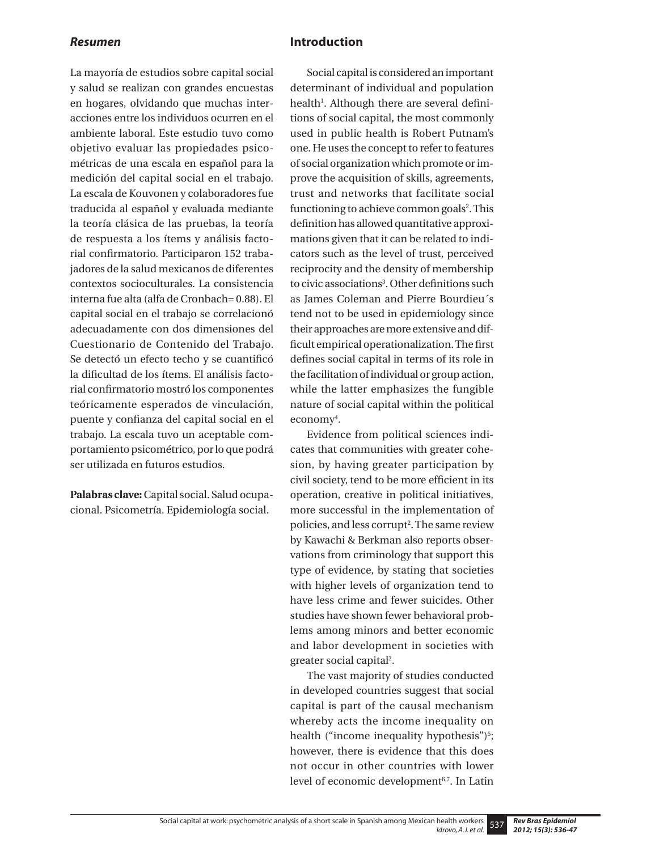### *Resumen*

#### **Introduction**

La mayoría de estudios sobre capital social y salud se realizan con grandes encuestas en hogares, olvidando que muchas interacciones entre los individuos ocurren en el ambiente laboral. Este estudio tuvo como objetivo evaluar las propiedades psicométricas de una escala en español para la medición del capital social en el trabajo. La escala de Kouvonen y colaboradores fue traducida al español y evaluada mediante la teoría clásica de las pruebas, la teoría de respuesta a los ítems y análisis factorial confirmatorio. Participaron 152 trabajadores de la salud mexicanos de diferentes contextos socioculturales. La consistencia interna fue alta (alfa de Cronbach= 0.88). El capital social en el trabajo se correlacionó adecuadamente con dos dimensiones del Cuestionario de Contenido del Trabajo. Se detectó un efecto techo y se cuantificó la dificultad de los ítems. El análisis factorial confirmatorio mostró los componentes teóricamente esperados de vinculación, puente y confianza del capital social en el trabajo. La escala tuvo un aceptable comportamiento psicométrico, por lo que podrá ser utilizada en futuros estudios.

**Palabras clave:** Capital social. Salud ocupacional. Psicometría. Epidemiología social.

Social capital is considered an important determinant of individual and population health<sup>1</sup>. Although there are several definitions of social capital, the most commonly used in public health is Robert Putnam's one. He uses the concept to refer to features of social organization which promote or improve the acquisition of skills, agreements, trust and networks that facilitate social functioning to achieve common goals<sup>2</sup>. This definition has allowed quantitative approximations given that it can be related to indicators such as the level of trust, perceived reciprocity and the density of membership to civic associations<sup>3</sup>. Other definitions such as James Coleman and Pierre Bourdieu´s tend not to be used in epidemiology since their approaches are more extensive and difficult empirical operationalization. The first defines social capital in terms of its role in the facilitation of individual or group action, while the latter emphasizes the fungible nature of social capital within the political economy<sup>4</sup>.

Evidence from political sciences indicates that communities with greater cohesion, by having greater participation by civil society, tend to be more efficient in its operation, creative in political initiatives, more successful in the implementation of policies, and less corrupt<sup>2</sup>. The same review by Kawachi & Berkman also reports observations from criminology that support this type of evidence, by stating that societies with higher levels of organization tend to have less crime and fewer suicides. Other studies have shown fewer behavioral problems among minors and better economic and labor development in societies with greater social capital<sup>2</sup>.

The vast majority of studies conducted in developed countries suggest that social capital is part of the causal mechanism whereby acts the income inequality on health ("income inequality hypothesis")<sup>5</sup>; however, there is evidence that this does not occur in other countries with lower level of economic development<sup>6,7</sup>. In Latin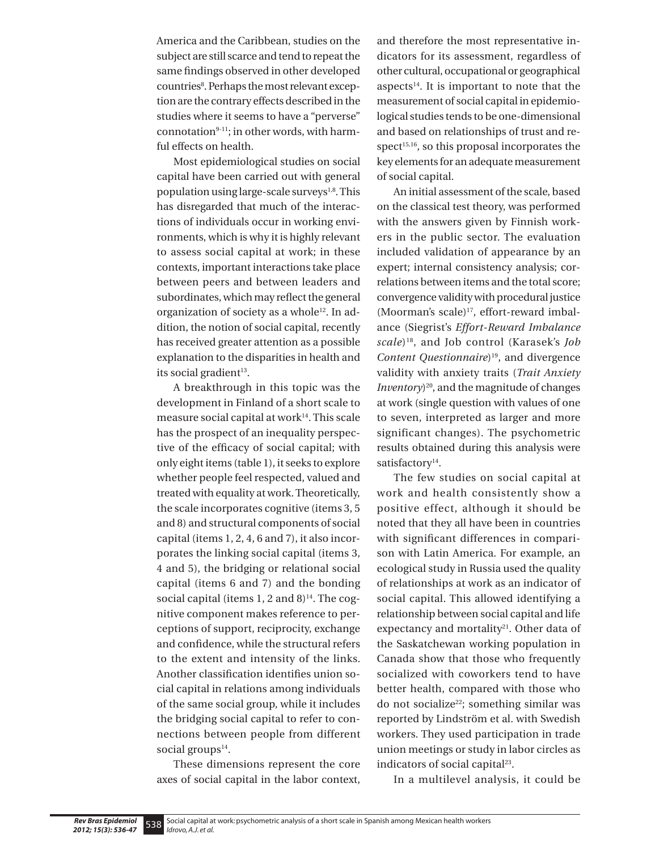America and the Caribbean, studies on the subject are still scarce and tend to repeat the same findings observed in other developed countries<sup>8</sup>. Perhaps the most relevant exception are the contrary effects described in the studies where it seems to have a "perverse" connotation<sup>9-11</sup>; in other words, with harmful effects on health.

Most epidemiological studies on social capital have been carried out with general population using large-scale surveys<sup>1,8</sup>. This has disregarded that much of the interactions of individuals occur in working environments, which is why it is highly relevant to assess social capital at work; in these contexts, important interactions take place between peers and between leaders and subordinates, which may reflect the general organization of society as a whole<sup>12</sup>. In addition, the notion of social capital, recently has received greater attention as a possible explanation to the disparities in health and its social gradient<sup>13</sup>.

A breakthrough in this topic was the development in Finland of a short scale to measure social capital at work<sup>14</sup>. This scale has the prospect of an inequality perspective of the efficacy of social capital; with only eight items (table 1), it seeks to explore whether people feel respected, valued and treated with equality at work. Theoretically, the scale incorporates cognitive (items 3, 5 and 8) and structural components of social capital (items 1, 2, 4, 6 and 7), it also incorporates the linking social capital (items 3, 4 and 5), the bridging or relational social capital (items 6 and 7) and the bonding social capital (items  $1, 2$  and  $8$ )<sup>14</sup>. The cognitive component makes reference to perceptions of support, reciprocity, exchange and confidence, while the structural refers to the extent and intensity of the links. Another classification identifies union social capital in relations among individuals of the same social group, while it includes the bridging social capital to refer to connections between people from different social groups $14$ .

These dimensions represent the core axes of social capital in the labor context,

and therefore the most representative indicators for its assessment, regardless of other cultural, occupational or geographical aspects $14$ . It is important to note that the measurement of social capital in epidemiological studies tends to be one-dimensional and based on relationships of trust and respect $15,16$ , so this proposal incorporates the key elements for an adequate measurement of social capital.

An initial assessment of the scale, based on the classical test theory, was performed with the answers given by Finnish workers in the public sector. The evaluation included validation of appearance by an expert; internal consistency analysis; correlations between items and the total score; convergence validity with procedural justice (Moorman's scale)<sup>17</sup>, effort-reward imbalance (Siegrist's *Effort-Reward Imbalance scale*)18, and Job control (Karasek's *Job Content Questionnaire*)19, and divergence validity with anxiety traits (*Trait Anxiety Inventory*)<sup>20</sup>, and the magnitude of changes at work (single question with values of one to seven, interpreted as larger and more significant changes). The psychometric results obtained during this analysis were satisfactory<sup>14</sup>.

The few studies on social capital at work and health consistently show a positive effect, although it should be noted that they all have been in countries with significant differences in comparison with Latin America. For example, an ecological study in Russia used the quality of relationships at work as an indicator of social capital. This allowed identifying a relationship between social capital and life expectancy and mortality<sup>21</sup>. Other data of the Saskatchewan working population in Canada show that those who frequently socialized with coworkers tend to have better health, compared with those who do not socialize<sup>22</sup>; something similar was reported by Lindström et al. with Swedish workers. They used participation in trade union meetings or study in labor circles as indicators of social capital<sup>23</sup>.

In a multilevel analysis, it could be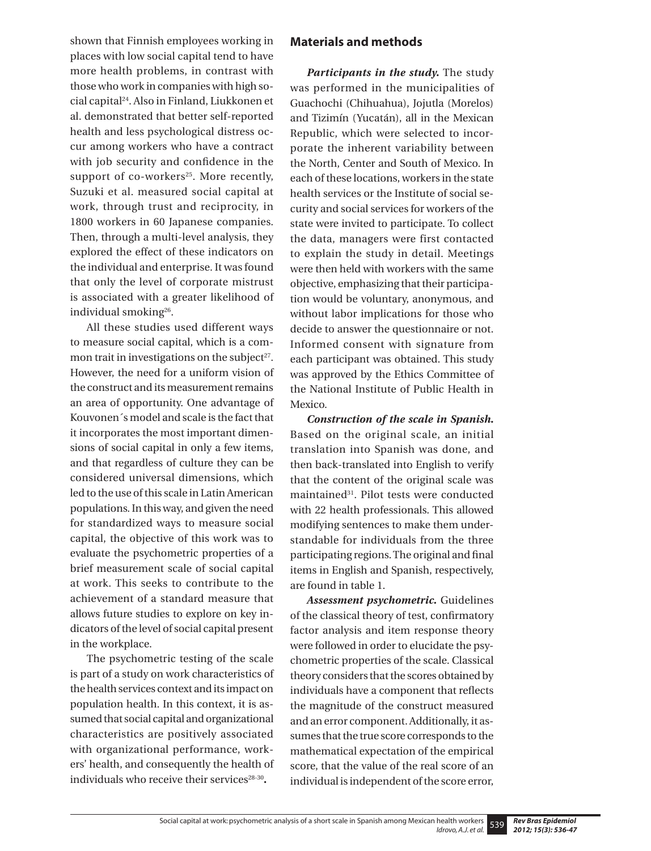shown that Finnish employees working in places with low social capital tend to have more health problems, in contrast with those who work in companies with high social capital24. Also in Finland, Liukkonen et al. demonstrated that better self-reported health and less psychological distress occur among workers who have a contract with job security and confidence in the support of co-workers<sup>25</sup>. More recently, Suzuki et al. measured social capital at work, through trust and reciprocity, in 1800 workers in 60 Japanese companies. Then, through a multi-level analysis, they explored the effect of these indicators on the individual and enterprise. It was found that only the level of corporate mistrust is associated with a greater likelihood of individual smoking26.

All these studies used different ways to measure social capital, which is a common trait in investigations on the subject<sup>27</sup>. However, the need for a uniform vision of the construct and its measurement remains an area of opportunity. One advantage of Kouvonen´s model and scale is the fact that it incorporates the most important dimensions of social capital in only a few items, and that regardless of culture they can be considered universal dimensions, which led to the use of this scale in Latin American populations. In this way, and given the need for standardized ways to measure social capital, the objective of this work was to evaluate the psychometric properties of a brief measurement scale of social capital at work. This seeks to contribute to the achievement of a standard measure that allows future studies to explore on key indicators of the level of social capital present in the workplace.

The psychometric testing of the scale is part of a study on work characteristics of the health services context and its impact on population health. In this context, it is assumed that social capital and organizational characteristics are positively associated with organizational performance, workers' health, and consequently the health of individuals who receive their services<sup>28-30</sup>.

#### **Materials and methods**

*Participants in the study.* The study was performed in the municipalities of Guachochi (Chihuahua), Jojutla (Morelos) and Tizimín (Yucatán), all in the Mexican Republic, which were selected to incorporate the inherent variability between the North, Center and South of Mexico. In each of these locations, workers in the state health services or the Institute of social security and social services for workers of the state were invited to participate. To collect the data, managers were first contacted to explain the study in detail. Meetings were then held with workers with the same objective, emphasizing that their participation would be voluntary, anonymous, and without labor implications for those who decide to answer the questionnaire or not. Informed consent with signature from each participant was obtained. This study was approved by the Ethics Committee of the National Institute of Public Health in Mexico.

*Construction of the scale in Spanish.*  Based on the original scale, an initial translation into Spanish was done, and then back-translated into English to verify that the content of the original scale was maintained31. Pilot tests were conducted with 22 health professionals. This allowed modifying sentences to make them understandable for individuals from the three participating regions. The original and final items in English and Spanish, respectively, are found in table 1.

*Assessment psychometric.* Guidelines of the classical theory of test, confirmatory factor analysis and item response theory were followed in order to elucidate the psychometric properties of the scale. Classical theory considers that the scores obtained by individuals have a component that reflects the magnitude of the construct measured and an error component. Additionally, it assumes that the true score corresponds to the mathematical expectation of the empirical score, that the value of the real score of an individual is independent of the score error,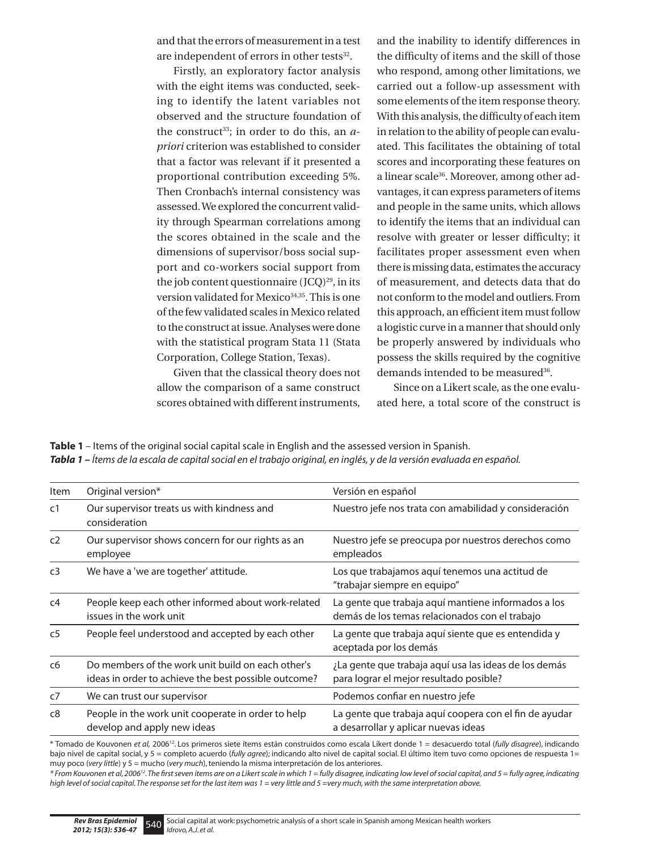and that the errors of measurement in a test are independent of errors in other tests<sup>32</sup>.

Firstly, an exploratory factor analysis with the eight items was conducted, seeking to identify the latent variables not observed and the structure foundation of the construct<sup>33</sup>; in order to do this, an *apriori* criterion was established to consider that a factor was relevant if it presented a proportional contribution exceeding 5%. Then Cronbach's internal consistency was assessed. We explored the concurrent validity through Spearman correlations among the scores obtained in the scale and the dimensions of supervisor/boss social support and co-workers social support from the job content questionnaire  $(JCQ)^{29}$ , in its version validated for Mexico<sup>34,35</sup>. This is one of the few validated scales in Mexico related to the construct at issue. Analyses were done with the statistical program Stata 11 (Stata Corporation, College Station, Texas).

Given that the classical theory does not allow the comparison of a same construct scores obtained with different instruments,

and the inability to identify differences in the difficulty of items and the skill of those who respond, among other limitations, we carried out a follow-up assessment with some elements of the item response theory. With this analysis, the difficulty of each item in relation to the ability of people can evaluated. This facilitates the obtaining of total scores and incorporating these features on a linear scale36. Moreover, among other advantages, it can express parameters of items and people in the same units, which allows to identify the items that an individual can resolve with greater or lesser difficulty; it facilitates proper assessment even when there is missing data, estimates the accuracy of measurement, and detects data that do not conform to the model and outliers.From this approach, an efficient item must follow a logistic curve in a manner that should only be properly answered by individuals who possess the skills required by the cognitive demands intended to be measured<sup>36</sup>.

Since on a Likert scale, as the one evaluated here, a total score of the construct is

**Table 1** *–* Items of the original social capital scale in English and the assessed version in Spanish.

*Tabla 1 – Ítems de la escala de capital social en el trabajo original, en inglés, y de la versión evaluada en español.*

| Item | Original version*                                                                                         | Versión en español                                                                                    |
|------|-----------------------------------------------------------------------------------------------------------|-------------------------------------------------------------------------------------------------------|
| c1   | Our supervisor treats us with kindness and<br>consideration                                               | Nuestro jefe nos trata con amabilidad y consideración                                                 |
| c2   | Our supervisor shows concern for our rights as an<br>employee                                             | Nuestro jefe se preocupa por nuestros derechos como<br>empleados                                      |
| c3   | We have a 'we are together' attitude.                                                                     | Los que trabajamos aquí tenemos una actitud de<br>"trabajar siempre en equipo"                        |
| c4   | People keep each other informed about work-related<br>issues in the work unit                             | La gente que trabaja aquí mantiene informados a los<br>demás de los temas relacionados con el trabajo |
| c5   | People feel understood and accepted by each other                                                         | La gente que trabaja aquí siente que es entendida y<br>aceptada por los demás                         |
| c6   | Do members of the work unit build on each other's<br>ideas in order to achieve the best possible outcome? | ¿La gente que trabaja aquí usa las ideas de los demás<br>para lograr el mejor resultado posible?      |
| c7   | We can trust our supervisor                                                                               | Podemos confiar en nuestro jefe                                                                       |
| c8   | People in the work unit cooperate in order to help<br>develop and apply new ideas                         | La gente que trabaja aquí coopera con el fin de ayudar<br>a desarrollar y aplicar nuevas ideas        |

\* Tomado de Kouvonen *et al,* 200612. Los primeros siete ítems están construidos como escala Likert donde 1 = desacuerdo total (*fully disagree*), indicando bajo nivel de capital social, y 5 = completo acuerdo (*fully agree*); indicando alto nivel de capital social. El último ítem tuvo como opciones de respuesta 1= muy poco (*very little*) y 5 = mucho (*very much*), teniendo la misma interpretación de los anteriores.

*\* From Kouvonen et al, 200612. The first seven items are on a Likert scale in which 1 = fully disagree, indicating low level of social capital, and 5 = fully agree, indicating high level of social capital. The response set for the last item was 1 = very little and 5 =very much, with the same interpretation above.*

540 *Rev Bras Epidemiol 2012; 15(3): 536-47*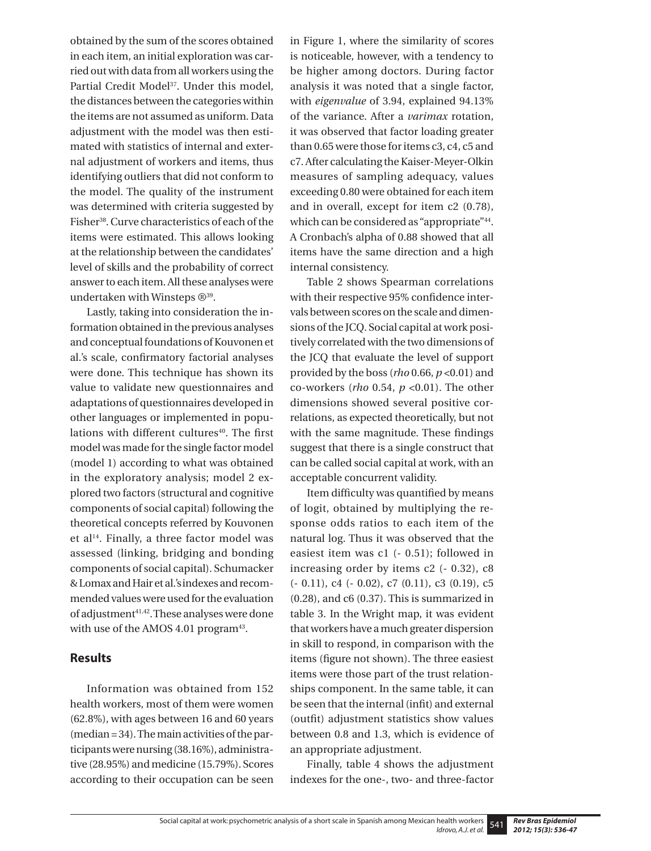obtained by the sum of the scores obtained in each item, an initial exploration was carried out with data from all workers using the Partial Credit Model<sup>37</sup>. Under this model, the distances between the categories within the items are not assumed as uniform. Data adjustment with the model was then estimated with statistics of internal and external adjustment of workers and items, thus identifying outliers that did not conform to the model. The quality of the instrument was determined with criteria suggested by Fisher<sup>38</sup>. Curve characteristics of each of the items were estimated. This allows looking at the relationship between the candidates' level of skills and the probability of correct answer to each item. All these analyses were undertaken with Winsteps  $\mathbb{B}^{39}$ .

Lastly, taking into consideration the information obtained in the previous analyses and conceptual foundations of Kouvonen et al.'s scale, confirmatory factorial analyses were done. This technique has shown its value to validate new questionnaires and adaptations of questionnaires developed in other languages or implemented in populations with different cultures<sup>40</sup>. The first model was made for the single factor model (model 1) according to what was obtained in the exploratory analysis; model 2 explored two factors (structural and cognitive components of social capital) following the theoretical concepts referred by Kouvonen et al<sup>14</sup>. Finally, a three factor model was assessed (linking, bridging and bonding components of social capital). Schumacker & Lomax and Hair et al.'sindexes and recommended values were used for the evaluation of adjustment<sup>41,42</sup>. These analyses were done with use of the AMOS 4.01 program<sup>43</sup>.

#### **Results**

Information was obtained from 152 health workers, most of them were women (62.8%), with ages between 16 and 60 years (median = 34). The main activities of the participants were nursing (38.16%), administrative (28.95%) and medicine (15.79%). Scores according to their occupation can be seen

in Figure 1, where the similarity of scores is noticeable, however, with a tendency to be higher among doctors. During factor analysis it was noted that a single factor, with *eigenvalue* of 3.94, explained 94.13% of the variance. After a *varimax* rotation, it was observed that factor loading greater than 0.65 were those for items c3, c4, c5 and c7. After calculating the Kaiser-Meyer-Olkin measures of sampling adequacy, values exceeding 0.80 were obtained for each item and in overall, except for item c2 (0.78), which can be considered as "appropriate"<sup>44</sup>. A Cronbach's alpha of 0.88 showed that all items have the same direction and a high internal consistency.

Table 2 shows Spearman correlations with their respective 95% confidence intervals between scores on the scale and dimensions of the JCQ. Social capital at work positively correlated with the two dimensions of the JCQ that evaluate the level of support provided by the boss (*rho* 0.66, *p <*0.01) and co-workers (*rho* 0.54, *p <*0.01). The other dimensions showed several positive correlations, as expected theoretically, but not with the same magnitude. These findings suggest that there is a single construct that can be called social capital at work, with an acceptable concurrent validity.

Item difficulty was quantified by means of logit, obtained by multiplying the response odds ratios to each item of the natural log. Thus it was observed that the easiest item was c1 (- 0.51); followed in increasing order by items c2 (- 0.32), c8 (- 0.11), c4 (- 0.02), c7 (0.11), c3 (0.19), c5 (0.28), and c6 (0.37). This is summarized in table 3. In the Wright map, it was evident that workers have a much greater dispersion in skill to respond, in comparison with the items (figure not shown). The three easiest items were those part of the trust relationships component. In the same table, it can be seen that the internal (infit) and external (outfit) adjustment statistics show values between 0.8 and 1.3, which is evidence of an appropriate adjustment.

Finally, table 4 shows the adjustment indexes for the one-, two- and three-factor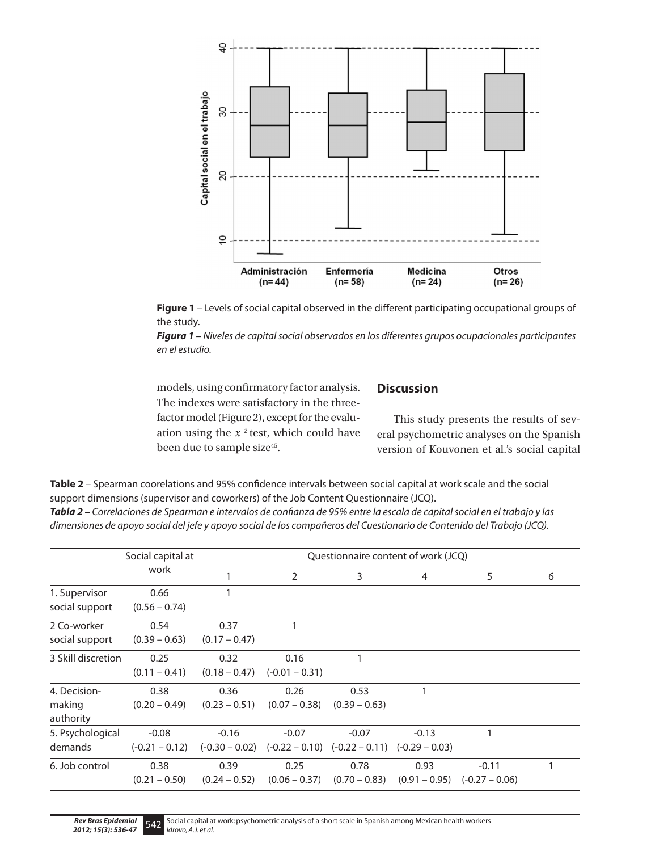

**Figure 1** *–* Levels of social capital observed in the different participating occupational groups of the study.

*Figura 1 – Niveles de capital social observados en los diferentes grupos ocupacionales participantes en el estudio.* 

models, using confirmatory factor analysis. The indexes were satisfactory in the threefactor model (Figure 2), except for the evaluation using the *x 2* test, which could have been due to sample size<sup>45</sup>.

# **Discussion**

This study presents the results of several psychometric analyses on the Spanish version of Kouvonen et al.'s social capital

**Table 2** *–* Spearman coorelations and 95% confidence intervals between social capital at work scale and the social support dimensions (supervisor and coworkers) of the Job Content Questionnaire (JCQ).

*Tabla 2 – Correlaciones de Spearman e intervalos de confianza de 95% entre la escala de capital social en el trabajo y las dimensiones de apoyo social del jefe y apoyo social de los compañeros del Cuestionario de Contenido del Trabajo (JCQ).*

|                                     | Social capital at           | Questionnaire content of work (JCQ) |                                                                                |                         |                         |                             |   |  |
|-------------------------------------|-----------------------------|-------------------------------------|--------------------------------------------------------------------------------|-------------------------|-------------------------|-----------------------------|---|--|
|                                     | work                        |                                     | 2                                                                              | 3                       | 4                       | 5                           | 6 |  |
| 1. Supervisor<br>social support     | 0.66<br>$(0.56 - 0.74)$     |                                     |                                                                                |                         |                         |                             |   |  |
| 2 Co-worker<br>social support       | 0.54<br>$(0.39 - 0.63)$     | 0.37<br>$(0.17 - 0.47)$             |                                                                                |                         |                         |                             |   |  |
| 3 Skill discretion                  | 0.25<br>$(0.11 - 0.41)$     | 0.32<br>$(0.18 - 0.47)$             | 0.16<br>$(-0.01 - 0.31)$                                                       |                         |                         |                             |   |  |
| 4. Decision-<br>making<br>authority | 0.38<br>$(0.20 - 0.49)$     | 0.36<br>$(0.23 - 0.51)$             | 0.26<br>$(0.07 - 0.38)$                                                        | 0.53<br>$(0.39 - 0.63)$ |                         |                             |   |  |
| 5. Psychological<br>demands         | $-0.08$<br>$(-0.21 - 0.12)$ | $-0.16$                             | $-0.07$<br>$(-0.30 - 0.02)$ $(-0.22 - 0.10)$ $(-0.22 - 0.11)$ $(-0.29 - 0.03)$ | $-0.07$                 | $-0.13$                 | 1                           |   |  |
| 6. Job control                      | 0.38<br>$(0.21 - 0.50)$     | 0.39<br>$(0.24 - 0.52)$             | 0.25<br>$(0.06 - 0.37)$                                                        | 0.78<br>$(0.70 - 0.83)$ | 0.93<br>$(0.91 - 0.95)$ | $-0.11$<br>$(-0.27 - 0.06)$ |   |  |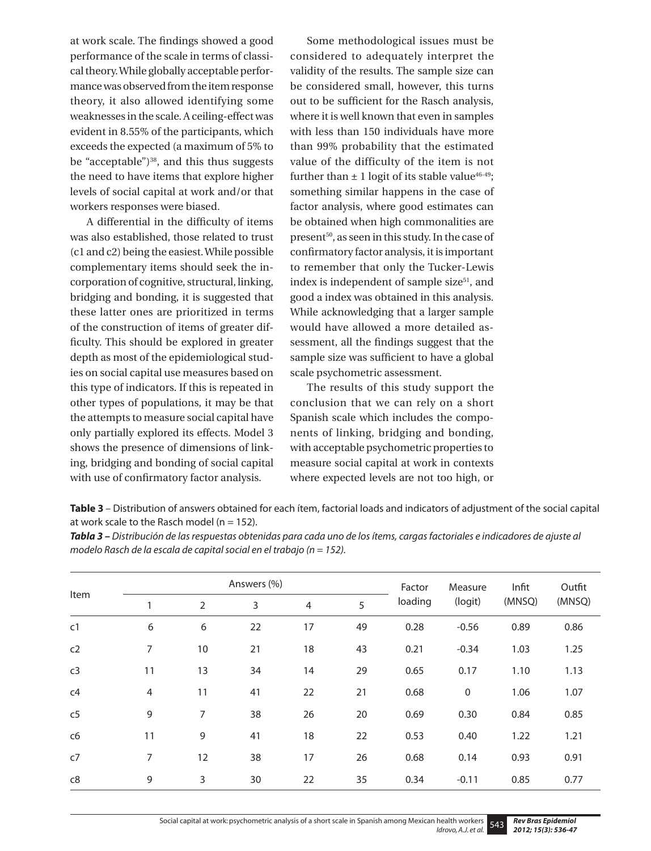at work scale. The findings showed a good performance of the scale in terms of classical theory. While globally acceptable performance was observed from the item response theory, it also allowed identifying some weaknesses in the scale. A ceiling-effect was evident in 8.55% of the participants, which exceeds the expected (a maximum of 5% to be "acceptable")38, and this thus suggests the need to have items that explore higher levels of social capital at work and/or that workers responses were biased.

A differential in the difficulty of items was also established, those related to trust (c1 and c2) being the easiest. While possible complementary items should seek the incorporation of cognitive, structural, linking, bridging and bonding, it is suggested that these latter ones are prioritized in terms of the construction of items of greater difficulty. This should be explored in greater depth as most of the epidemiological studies on social capital use measures based on this type of indicators. If this is repeated in other types of populations, it may be that the attempts to measure social capital have only partially explored its effects. Model 3 shows the presence of dimensions of linking, bridging and bonding of social capital with use of confirmatory factor analysis.

Some methodological issues must be considered to adequately interpret the validity of the results. The sample size can be considered small, however, this turns out to be sufficient for the Rasch analysis, where it is well known that even in samples with less than 150 individuals have more than 99% probability that the estimated value of the difficulty of the item is not further than  $\pm$  1 logit of its stable value<sup>46-49</sup>; something similar happens in the case of factor analysis, where good estimates can be obtained when high commonalities are present<sup>50</sup>, as seen in this study. In the case of confirmatory factor analysis, it is important to remember that only the Tucker-Lewis index is independent of sample size<sup>51</sup>, and good a index was obtained in this analysis. While acknowledging that a larger sample would have allowed a more detailed assessment, all the findings suggest that the sample size was sufficient to have a global scale psychometric assessment.

The results of this study support the conclusion that we can rely on a short Spanish scale which includes the components of linking, bridging and bonding, with acceptable psychometric properties to measure social capital at work in contexts where expected levels are not too high, or

**Table 3** – Distribution of answers obtained for each ítem, factorial loads and indicators of adjustment of the social capital at work scale to the Rasch model ( $n = 152$ ).

*Tabla 3 – Distribución de las respuestas obtenidas para cada uno de los ítems, cargas factoriales e indicadores de ajuste al modelo Rasch de la escala de capital social en el trabajo (n = 152).*

|                | Answers (%)    |    |    |                | Factor | Measure | Infit       | Outfit |        |
|----------------|----------------|----|----|----------------|--------|---------|-------------|--------|--------|
| Item           | 1              | 2  | 3  | $\overline{4}$ | 5      | loading | (logit)     | (MNSQ) | (MNSQ) |
| c1             | 6              | 6  | 22 | 17             | 49     | 0.28    | $-0.56$     | 0.89   | 0.86   |
| c2             | $\overline{7}$ | 10 | 21 | 18             | 43     | 0.21    | $-0.34$     | 1.03   | 1.25   |
| c3             | 11             | 13 | 34 | 14             | 29     | 0.65    | 0.17        | 1.10   | 1.13   |
| c4             | $\overline{4}$ | 11 | 41 | 22             | 21     | 0.68    | $\mathbf 0$ | 1.06   | 1.07   |
| c <sub>5</sub> | 9              | 7  | 38 | 26             | 20     | 0.69    | 0.30        | 0.84   | 0.85   |
| c6             | 11             | 9  | 41 | 18             | 22     | 0.53    | 0.40        | 1.22   | 1.21   |
| c7             | $\overline{7}$ | 12 | 38 | 17             | 26     | 0.68    | 0.14        | 0.93   | 0.91   |
| c8             | 9              | 3  | 30 | 22             | 35     | 0.34    | $-0.11$     | 0.85   | 0.77   |

Social capital at work: psychometric analysis of a short scale in Spanish among Mexican health workers *Idrovo, A.J. et al.*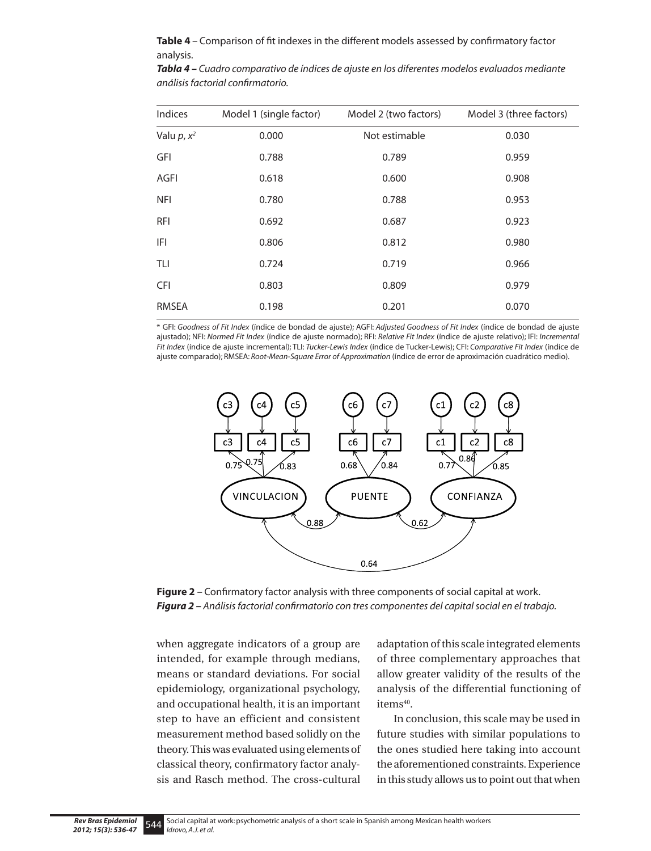**Table 4** *–* Comparison of fit indexes in the different models assessed by confirmatory factor analysis.

*Tabla 4 – Cuadro comparativo de índices de ajuste en los diferentes modelos evaluados mediante análisis factorial confirmatorio.*

| Indices       | Model 1 (single factor) | Model 2 (two factors) | Model 3 (three factors) |
|---------------|-------------------------|-----------------------|-------------------------|
| Valu $p, x^2$ | 0.000                   | Not estimable         | 0.030                   |
| GFI           | 0.788                   | 0.789                 | 0.959                   |
| <b>AGFI</b>   | 0.618                   | 0.600                 | 0.908                   |
| <b>NFI</b>    | 0.780                   | 0.788                 | 0.953                   |
| <b>RFI</b>    | 0.692                   | 0.687                 | 0.923                   |
| IFI           | 0.806                   | 0.812                 | 0.980                   |
| TLI           | 0.724                   | 0.719                 | 0.966                   |
| <b>CFI</b>    | 0.803                   | 0.809                 | 0.979                   |
| <b>RMSEA</b>  | 0.198                   | 0.201                 | 0.070                   |

\* GFI: *Goodness of Fit Index* (índice de bondad de ajuste); AGFI: *Adjusted Goodness of Fit Index* (índice de bondad de ajuste ajustado); NFI: *Normed Fit Index* (índice de ajuste normado); RFI: *Relative Fit Index* (índice de ajuste relativo); IFI: *Incremental Fit Index* (índice de ajuste incremental); TLI: *Tucker-Lewis Index* (índice de Tucker-Lewis); CFI: *Comparative Fit Index* (índice de ajuste comparado); RMSEA: *Root-Mean-Square Error of Approximation* (índice de error de aproximación cuadrático medio).





when aggregate indicators of a group are intended, for example through medians, means or standard deviations. For social epidemiology, organizational psychology, and occupational health, it is an important step to have an efficient and consistent measurement method based solidly on the theory. This was evaluated using elements of classical theory, confirmatory factor analysis and Rasch method. The cross-cultural

adaptation of this scale integrated elements of three complementary approaches that allow greater validity of the results of the analysis of the differential functioning of items<sup>40</sup>.

In conclusion, this scale may be used in future studies with similar populations to the ones studied here taking into account the aforementioned constraints. Experience in this study allows us to point out that when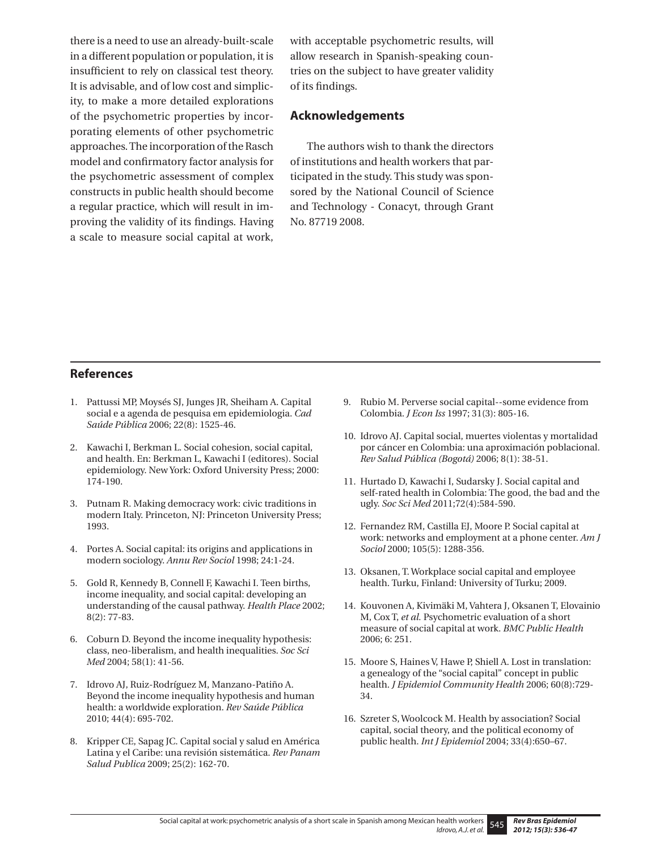there is a need to use an already-built-scale in a different population or population, it is insufficient to rely on classical test theory. It is advisable, and of low cost and simplicity, to make a more detailed explorations of the psychometric properties by incorporating elements of other psychometric approaches. The incorporation of the Rasch model and confirmatory factor analysis for the psychometric assessment of complex constructs in public health should become a regular practice, which will result in improving the validity of its findings. Having a scale to measure social capital at work,

with acceptable psychometric results, will allow research in Spanish-speaking countries on the subject to have greater validity of its findings.

### **Acknowledgements**

The authors wish to thank the directors of institutions and health workers that participated in the study. This study was sponsored by the National Council of Science and Technology - Conacyt, through Grant No. 87719 2008.

#### **References**

- 1. Pattussi MP, Moysés SJ, Junges JR, Sheiham A. Capital social e a agenda de pesquisa em epidemiologia. *Cad Saúde Pública* 2006; 22(8): 1525-46.
- 2. Kawachi I, Berkman L. Social cohesion, social capital, and health. En: Berkman L, Kawachi I (editores). Social epidemiology. New York: Oxford University Press; 2000: 174-190.
- 3. Putnam R. Making democracy work: civic traditions in modern Italy. Princeton, NJ: Princeton University Press; 1993.
- 4. Portes A. Social capital: its origins and applications in modern sociology. *Annu Rev Sociol* 1998; 24:1-24.
- 5. Gold R, Kennedy B, Connell F, Kawachi I. Teen births, income inequality, and social capital: developing an understanding of the causal pathway. *Health Place* 2002; 8(2): 77-83.
- 6. Coburn D. Beyond the income inequality hypothesis: class, neo-liberalism, and health inequalities. *Soc Sci Med* 2004; 58(1): 41-56.
- 7. Idrovo AJ, Ruiz-Rodríguez M, Manzano-Patiño A. Beyond the income inequality hypothesis and human health: a worldwide exploration. *Rev Saúde Pública* 2010; 44(4): 695-702.
- 8. Kripper CE, Sapag JC. Capital social y salud en América Latina y el Caribe: una revisión sistemática. *Rev Panam Salud Publica* 2009; 25(2): 162-70.
- 9. Rubio M. Perverse social capital--some evidence from Colombia. *J Econ Iss* 1997; 31(3): 805-16.
- 10. Idrovo AJ. Capital social, muertes violentas y mortalidad por cáncer en Colombia: una aproximación poblacional. *Rev Salud Pública (Bogotá)* 2006; 8(1): 38-51.
- 11. Hurtado D, Kawachi I, Sudarsky J. Social capital and self-rated health in Colombia: The good, the bad and the ugly. *Soc Sci Med* 2011;72(4):584-590.
- 12. Fernandez RM, Castilla EJ, Moore P. Social capital at work: networks and employment at a phone center. *Am J Sociol* 2000; 105(5): 1288-356.
- 13. Oksanen, T. Workplace social capital and employee health. Turku, Finland: University of Turku; 2009.
- 14. Kouvonen A, Kivimäki M, Vahtera J, Oksanen T, Elovainio M, Cox T, *et al.* Psychometric evaluation of a short measure of social capital at work. *BMC Public Health* 2006; 6: 251.
- 15. Moore S, Haines V, Hawe P, Shiell A. Lost in translation: a genealogy of the "social capital" concept in public health. *J Epidemiol Community Health* 2006; 60(8):729- 34.
- 16. Szreter S, Woolcock M. Health by association? Social capital, social theory, and the political economy of public health. *Int J Epidemiol* 2004; 33(4):650–67.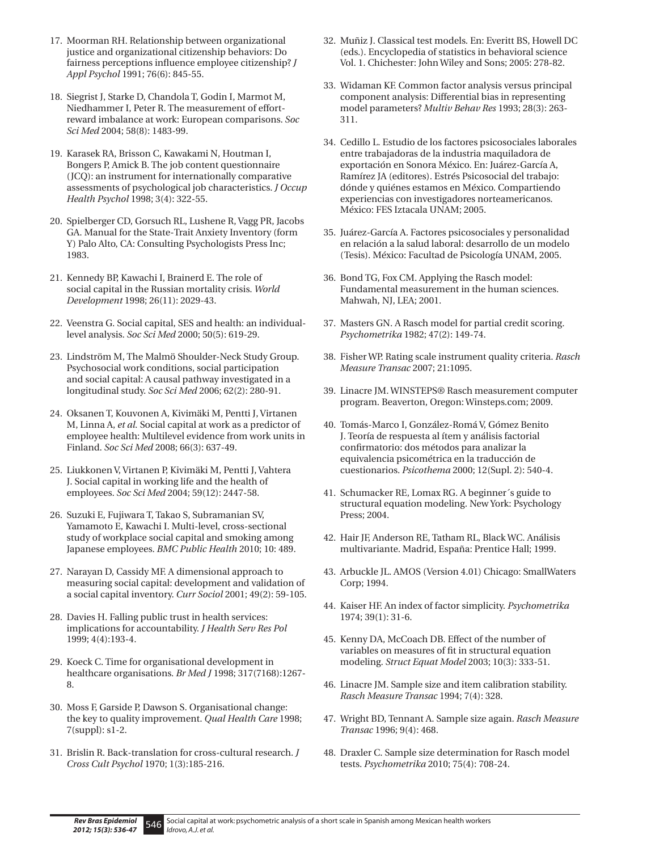- 17. Moorman RH. Relationship between organizational justice and organizational citizenship behaviors: Do fairness perceptions influence employee citizenship? *J Appl Psychol* 1991; 76(6): 845-55.
- 18. Siegrist J, Starke D, Chandola T, Godin I, Marmot M, Niedhammer I, Peter R. The measurement of effortreward imbalance at work: European comparisons. *Soc Sci Med* 2004; 58(8): 1483-99.
- 19. Karasek RA, Brisson C, Kawakami N, Houtman I, Bongers P, Amick B. The job content questionnaire (JCQ): an instrument for internationally comparative assessments of psychological job characteristics. *J Occup Health Psychol* 1998; 3(4): 322-55.
- 20. Spielberger CD, Gorsuch RL, Lushene R, Vagg PR, Jacobs GA. Manual for the State-Trait Anxiety Inventory (form Y) Palo Alto, CA: Consulting Psychologists Press Inc; 1983.
- 21. Kennedy BP, Kawachi I, Brainerd E. The role of social capital in the Russian mortality crisis. *World Development* 1998; 26(11): 2029-43.
- 22. Veenstra G. Social capital, SES and health: an individuallevel analysis. *Soc Sci Med* 2000; 50(5): 619-29.
- 23. Lindström M, The Malmö Shoulder-Neck Study Group. Psychosocial work conditions, social participation and social capital: A causal pathway investigated in a longitudinal study. *Soc Sci Med* 2006; 62(2): 280-91.
- 24. Oksanen T, Kouvonen A, Kivimäki M, Pentti J, Virtanen M, Linna A, *et al.* Social capital at work as a predictor of employee health: Multilevel evidence from work units in Finland. *Soc Sci Med* 2008; 66(3): 637-49.
- 25. Liukkonen V, Virtanen P, Kivimäki M, Pentti J, Vahtera J. Social capital in working life and the health of employees. *Soc Sci Med* 2004; 59(12): 2447-58.
- 26. Suzuki E, Fujiwara T, Takao S, Subramanian SV, Yamamoto E, Kawachi I. Multi-level, cross-sectional study of workplace social capital and smoking among Japanese employees. *BMC Public Health* 2010; 10: 489.
- 27. Narayan D, Cassidy MF. A dimensional approach to measuring social capital: development and validation of a social capital inventory. *Curr Sociol* 2001; 49(2): 59-105.
- 28. Davies H. Falling public trust in health services: implications for accountability. *J Health Serv Res Pol* 1999; 4(4):193-4.
- 29. Koeck C. Time for organisational development in healthcare organisations. *Br Med J* 1998; 317(7168):1267- 8.
- 30. Moss F, Garside P, Dawson S. Organisational change: the key to quality improvement. *Qual Health Care* 1998; 7(suppl): s1-2.
- 31. Brislin R. Back-translation for cross-cultural research. *J Cross Cult Psychol* 1970; 1(3):185-216.
- 32. Muñiz J. Classical test models. En: Everitt BS, Howell DC (eds.). Encyclopedia of statistics in behavioral science Vol. 1. Chichester: John Wiley and Sons; 2005: 278-82.
- 33. Widaman KF. Common factor analysis versus principal component analysis: Differential bias in representing model parameters? *Multiv Behav Res* 1993; 28(3): 263- 311.
- 34. Cedillo L. Estudio de los factores psicosociales laborales entre trabajadoras de la industria maquiladora de exportación en Sonora México. En: Juárez-García A, Ramírez JA (editores). Estrés Psicosocial del trabajo: dónde y quiénes estamos en México. Compartiendo experiencias con investigadores norteamericanos. México: FES Iztacala UNAM; 2005.
- 35. Juárez-García A. Factores psicosociales y personalidad en relación a la salud laboral: desarrollo de un modelo (Tesis). México: Facultad de Psicología UNAM, 2005.
- 36. Bond TG, Fox CM. Applying the Rasch model: Fundamental measurement in the human sciences. Mahwah, NJ, LEA; 2001.
- 37. Masters GN. A Rasch model for partial credit scoring. *Psychometrika* 1982; 47(2): 149-74.
- 38. Fisher WP. Rating scale instrument quality criteria. *Rasch Measure Transac* 2007; 21:1095.
- 39. Linacre JM. WINSTEPS® Rasch measurement computer program. Beaverton, Oregon: Winsteps.com; 2009.
- 40. Tomás-Marco I, González-Romá V, Gómez Benito J. Teoría de respuesta al ítem y análisis factorial confirmatorio: dos métodos para analizar la equivalencia psicométrica en la traducción de cuestionarios. *Psicothema* 2000; 12(Supl. 2): 540-4.
- 41. Schumacker RE, Lomax RG. A beginner´s guide to structural equation modeling. New York: Psychology Press; 2004.
- 42. Hair JF, Anderson RE, Tatham RL, Black WC. Análisis multivariante. Madrid, España: Prentice Hall; 1999.
- 43. Arbuckle JL. AMOS (Version 4.01) Chicago: SmallWaters Corp; 1994.
- 44. Kaiser HF. An index of factor simplicity. *Psychometrika* 1974; 39(1): 31-6.
- 45. Kenny DA, McCoach DB. Effect of the number of variables on measures of fit in structural equation modeling. *Struct Equat Model* 2003; 10(3): 333-51.
- 46. Linacre JM. Sample size and item calibration stability. *Rasch Measure Transac* 1994; 7(4): 328.
- 47. Wright BD, Tennant A. Sample size again. *Rasch Measure Transac* 1996; 9(4): 468.
- 48. Draxler C. Sample size determination for Rasch model tests. *Psychometrika* 2010; 75(4): 708-24.